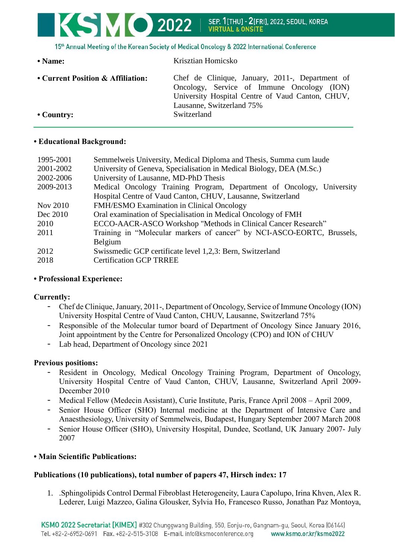# KSMO 2022 SEP. 1[THU] - 2[FRI], 2022, SEOUL, KOREA **VIRTUAL & ONSITE**

15th Annual Meeting of the Korean Society of Medical Oncology & 2022 International Conference

| $\bullet$ Name:                   | Krisztian Homicsko                                                                                                                                                             |
|-----------------------------------|--------------------------------------------------------------------------------------------------------------------------------------------------------------------------------|
| • Current Position & Affiliation: | Chef de Clinique, January, 2011-, Department of<br>Oncology, Service of Immune Oncology (ION)<br>University Hospital Centre of Vaud Canton, CHUV,<br>Lausanne, Switzerland 75% |
| $\cdot$ Country:                  | Switzerland                                                                                                                                                                    |

### **• Educational Background:**

| Semmelweis University, Medical Diploma and Thesis, Summa cum laude     |
|------------------------------------------------------------------------|
| University of Geneva, Specialisation in Medical Biology, DEA (M.Sc.)   |
| University of Lausanne, MD-PhD Thesis                                  |
| Medical Oncology Training Program, Department of Oncology, University  |
| Hospital Centre of Vaud Canton, CHUV, Lausanne, Switzerland            |
| FMH/ESMO Examination in Clinical Oncology                              |
| Oral examination of Specialisation in Medical Oncology of FMH          |
| ECCO-AACR-ASCO Workshop "Methods in Clinical Cancer Research"          |
| Training in "Molecular markers of cancer" by NCI-ASCO-EORTC, Brussels, |
| Belgium                                                                |
| Swissmedic GCP certificate level 1,2,3: Bern, Switzerland              |
| <b>Certification GCP TRREE</b>                                         |
|                                                                        |

## **• Professional Experience:**

## **Currently:**

- Chef de Clinique, January, 2011-, Department of Oncology, Service of Immune Oncology (ION) University Hospital Centre of Vaud Canton, CHUV, Lausanne, Switzerland 75%
- Responsible of the Molecular tumor board of Department of Oncology Since January 2016, Joint appointment by the Centre for Personalized Oncology (CPO) and ION of CHUV
- Lab head, Department of Oncology since 2021

#### **Previous positions:**

- Resident in Oncology, Medical Oncology Training Program, Department of Oncology, University Hospital Centre of Vaud Canton, CHUV, Lausanne, Switzerland April 2009- December 2010
- Medical Fellow (Medecin Assistant), Curie Institute, Paris, France April 2008 April 2009,
- Senior House Officer (SHO) Internal medicine at the Department of Intensive Care and Anaesthesiology, University of Semmelweis, Budapest, Hungary September 2007 March 2008
- Senior House Officer (SHO), University Hospital, Dundee, Scotland, UK January 2007- July 2007

## **• Main Scientific Publications:**

## **Publications (10 publications), total number of papers 47, Hirsch index: 17**

1. .Sphingolipids Control Dermal Fibroblast Heterogeneity, Laura Capolupo, Irina Khven, Alex R. Lederer, Luigi Mazzeo, Galina Glousker, Sylvia Ho, Francesco Russo, Jonathan Paz Montoya,